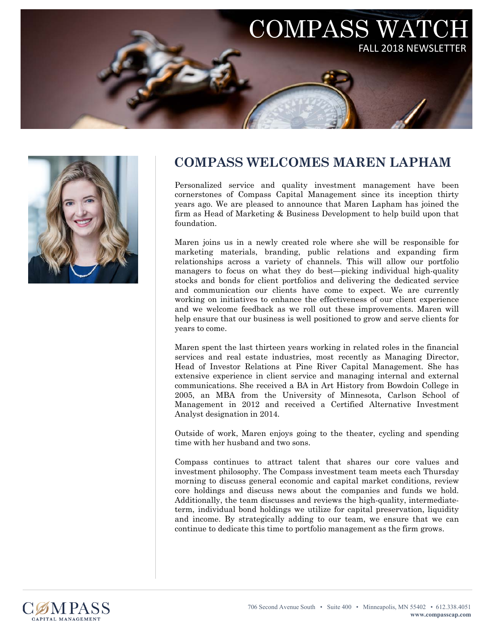



## **COMPASS WELCOMES MAREN LAPHAM**

Personalized service and quality investment management have been cornerstones of Compass Capital Management since its inception thirty years ago. We are pleased to announce that Maren Lapham has joined the firm as Head of Marketing & Business Development to help build upon that foundation.

Maren joins us in a newly created role where she will be responsible for marketing materials, branding, public relations and expanding firm relationships across a variety of channels. This will allow our portfolio managers to focus on what they do best—picking individual high-quality stocks and bonds for client portfolios and delivering the dedicated service and communication our clients have come to expect. We are currently working on initiatives to enhance the effectiveness of our client experience and we welcome feedback as we roll out these improvements. Maren will help ensure that our business is well positioned to grow and serve clients for years to come.

Maren spent the last thirteen years working in related roles in the financial services and real estate industries, most recently as Managing Director, Head of Investor Relations at Pine River Capital Management. She has extensive experience in client service and managing internal and external communications. She received a BA in Art History from Bowdoin College in 2005, an MBA from the University of Minnesota, Carlson School of Management in 2012 and received a Certified Alternative Investment Analyst designation in 2014.

Outside of work, Maren enjoys going to the theater, cycling and spending time with her husband and two sons.

Compass continues to attract talent that shares our core values and investment philosophy. The Compass investment team meets each Thursday morning to discuss general economic and capital market conditions, review core holdings and discuss news about the companies and funds we hold. Additionally, the team discusses and reviews the high-quality, intermediateterm, individual bond holdings we utilize for capital preservation, liquidity and income. By strategically adding to our team, we ensure that we can continue to dedicate this time to portfolio management as the firm grows.